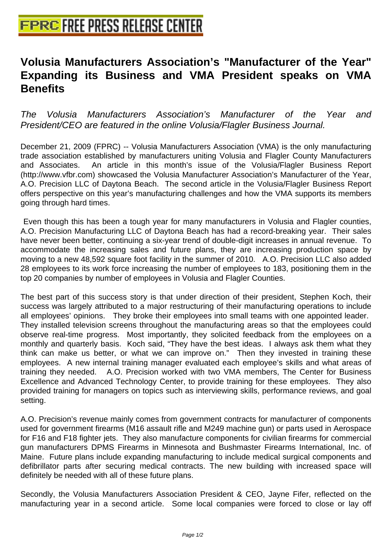## **[Volusia Manufacturers Associatio](http://www.free-press-release-center.info)n's "Manufacturer of the Year" Expanding its Business and VMA President speaks on VMA Benefits**

The Volusia Manufacturers Association's Manufacturer of the Year and President/CEO are featured in the online Volusia/Flagler Business Journal.

December 21, 2009 (FPRC) -- Volusia Manufacturers Association (VMA) is the only manufacturing trade association established by manufacturers uniting Volusia and Flagler County Manufacturers and Associates. An article in this month's issue of the Volusia/Flagler Business Report (http://www.vfbr.com) showcased the Volusia Manufacturer Association's Manufacturer of the Year, A.O. Precision LLC of Daytona Beach. The second article in the Volusia/Flagler Business Report offers perspective on this year's manufacturing challenges and how the VMA supports its members going through hard times.

 Even though this has been a tough year for many manufacturers in Volusia and Flagler counties, A.O. Precision Manufacturing LLC of Daytona Beach has had a record-breaking year. Their sales have never been better, continuing a six-year trend of double-digit increases in annual revenue. To accommodate the increasing sales and future plans, they are increasing production space by moving to a new 48,592 square foot facility in the summer of 2010. A.O. Precision LLC also added 28 employees to its work force increasing the number of employees to 183, positioning them in the top 20 companies by number of employees in Volusia and Flagler Counties.

The best part of this success story is that under direction of their president, Stephen Koch, their success was largely attributed to a major restructuring of their manufacturing operations to include all employees' opinions. They broke their employees into small teams with one appointed leader. They installed television screens throughout the manufacturing areas so that the employees could observe real-time progress. Most importantly, they solicited feedback from the employees on a monthly and quarterly basis. Koch said, "They have the best ideas. I always ask them what they think can make us better, or what we can improve on." Then they invested in training these employees. A new internal training manager evaluated each employee's skills and what areas of training they needed. A.O. Precision worked with two VMA members, The Center for Business Excellence and Advanced Technology Center, to provide training for these employees. They also provided training for managers on topics such as interviewing skills, performance reviews, and goal setting.

A.O. Precision's revenue mainly comes from government contracts for manufacturer of components used for government firearms (M16 assault rifle and M249 machine gun) or parts used in Aerospace for F16 and F18 fighter jets. They also manufacture components for civilian firearms for commercial gun manufacturers DPMS Firearms in Minnesota and Bushmaster Firearms International, Inc. of Maine. Future plans include expanding manufacturing to include medical surgical components and defibrillator parts after securing medical contracts. The new building with increased space will definitely be needed with all of these future plans.

Secondly, the Volusia Manufacturers Association President & CEO, Jayne Fifer, reflected on the manufacturing year in a second article. Some local companies were forced to close or lay off